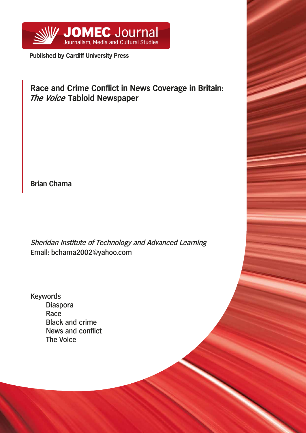

**Published by Cardiff University Press**

# Race and Crime Conflict in News Coverage in Britain: The Voice Tabloid Newspaper

**Brian Chama**

Sheridan Institute of Technology and Advanced Learning Email: bchama2002@yahoo.com

Keywords Diaspora **Race** Black and crime News and conflict The Voice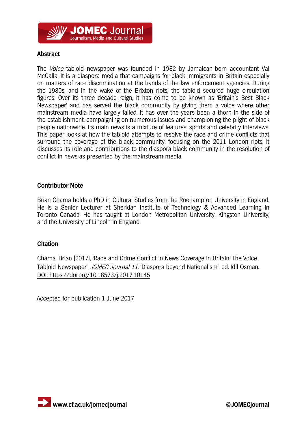## **SOMEC Journal** Journalism. Media and Cultural Studies

## **Abstract**

The Voice tabloid newspaper was founded in 1982 by Jamaican-born accountant Val McCalla. It is a diaspora media that campaigns for black immigrants in Britain especially on matters of race discrimination at the hands of the law enforcement agencies. During the 1980s, and in the wake of the Brixton riots, the tabloid secured huge circulation figures. Over its three decade reign, it has come to be known as 'Britain's Best Black Newspaper' and has served the black community by giving them a voice where other mainstream media have largely failed. It has over the years been a thorn in the side of the establishment, campaigning on numerous issues and championing the plight of black people nationwide. Its main news is a mixture of features, sports and celebrity interviews. This paper looks at how the tabloid attempts to resolve the race and crime conflicts that surround the coverage of the black community, focusing on the 2011 London riots. It discusses its role and contributions to the diaspora black community in the resolution of conflict in news as presented by the mainstream media.

#### **Contributor Note**

Brian Chama holds a PhD in Cultural Studies from the Roehampton University in England. He is a Senior Lecturer at Sheridan Institute of Technology & Advanced Learning in Toronto Canada. He has taught at London Metropolitan University, Kingston University, and the University of Lincoln in England.

#### **Citation**

Chama. Brian (2017), 'Race and Crime Conflict in News Coverage in Britain: The Voice Tabloid Newspaper', JOMEC Journal 11, 'Diaspora beyond Nationalism', ed. Idil Osman. DOI: https://doi.org/10.18573/j.2017.10145

Accepted for publication 1 June 2017

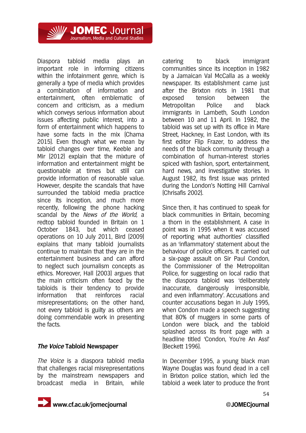JOMEC Journal Journalism. Media and Cultural Studies

Diaspora tabloid media plays an important role in informing citizens within the infotainment genre, which is generally a type of media which provides a combination of information and entertainment, often emblematic of concern and criticism, as a medium which conveys serious information about issues affecting public interest, into a form of entertainment which happens to have some facts in the mix (Chama 2015). Even though what we mean by tabloid changes over time, Keeble and Mir (2012) explain that the mixture of information and entertainment might be questionable at times but still can provide information of reasonable value. However, despite the scandals that have surrounded the tabloid media practice since its inception, and much more recently, following the phone hacking scandal by the News of the World, a redtop tabloid founded in Britain on 1 October 1843, but which ceased operations on 10 July 2011, Bird (2009) explains that many tabloid journalists continue to maintain that they are in the entertainment business and can afford to neglect such journalism concepts as ethics. Moreover, Hall (2003) argues that the main criticism often faced by the tabloids is their tendency to provide information that reinforces racial misrepresentations; on the other hand, not every tabloid is guilty as others are doing commendable work in presenting the facts.

#### **The Voice Tabloid Newspaper**

The Voice is a diaspora tabloid media that challenges racial misrepresentations by the mainstream newspapers and broadcast media in Britain, while

catering to black immigrant communities since its inception in 1982 by a Jamaican Val McCalla as a weekly newspaper. Its establishment came just after the Brixton riots in 1981 that exposed tension between the Metropolitan Police and black immigrants in Lambeth, South London between 10 and 11 April. In 1982, the tabloid was set up with its office in Mare Street, Hackney, in East London, with its first editor Flip Frazer, to address the needs of the black community through a combination of human-interest stories spiced with fashion, sport, entertainment, hard news, and investigative stories. In August 1982, its first issue was printed during the London's Notting Hill Carnival (Chrisafis 2002).

Since then, it has continued to speak for black communities in Britain, becoming a thorn in the establishment. A case in point was in 1995 when it was accused of reporting what authorities' classified as an 'inflammatory' statement about the behaviour of police officers. It carried out a six-page assault on Sir Paul Condon, the Commissioner of the Metropolitan Police, for suggesting on local radio that the diaspora tabloid was 'deliberately inaccurate, dangerously irresponsible, and even inflammatory'. Accusations and counter accusations began in July 1995, when Condon made a speech suggesting that 80% of muggers in some parts of London were black, and the tabloid splashed across its front page with a headline titled 'Condon, You're An Ass!' (Beckett 1996).

In December 1995, a young black man Wayne Douglas was found dead in a cell in Brixton police station, which led the tabloid a week later to produce the front



54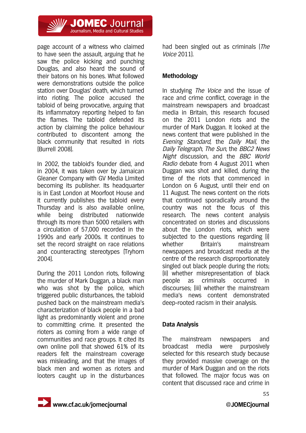

page account of a witness who claimed to have seen the assault, arguing that he saw the police kicking and punching Douglas, and also heard the sound of their batons on his bones. What followed were demonstrations outside the police station over Douglas' death, which turned into rioting. The police accused the tabloid of being provocative, arguing that its inflammatory reporting helped to fan the flames. The tabloid defended its action by claiming the police behaviour contributed to discontent among the black community that resulted in riots (Burrell 2008).

In 2002, the tabloid's founder died, and in 2004, it was taken over by Jamaican Gleaner Company with GV Media Limited becoming its publisher. Its headquarter is in East London at Moorfoot House and it currently publishes the tabloid every Thursday and is also available online, while being distributed nationwide through its more than 5000 retailers with a circulation of 57,000 recorded in the 1990s and early 2000s. It continues to set the record straight on race relations and counteracting stereotypes (Tryhorn 2004).

During the 2011 London riots, following the murder of Mark Duggan, a black man who was shot by the police, which triggered public disturbances, the tabloid pushed back on the mainstream media's characterization of black people in a bad light as predominantly violent and prone to committing crime. It presented the rioters as coming from a wide range of communities and race groups. It cited its own online poll that showed 61% of its readers felt the mainstream coverage was misleading, and that the images of black men and women as rioters and looters caught up in the disturbances

had been singled out as criminals (The Voice 2011).

## **Methodology**

In studying *The Voice* and the issue of race and crime conflict, coverage in the mainstream newspapers and broadcast media in Britain, this research focused on the 2011 London riots and the murder of Mark Duggan. It looked at the news content that were published in the Evening Standard, the Daily Mail, the Daily Telegraph, The Sun, the BBC2 News Night discussion, and the BBC World Radio debate from 4 August 2011 when Duggan was shot and killed, during the time of the riots that commenced in London on 6 August, until their end on 11 August. The news content on the riots that continued sporadically around the country was not the focus of this research. The news content analysis concentrated on stories and discussions about the London riots, which were subjected to the questions regarding (i) whether Britain's mainstream newspapers and broadcast media at the centre of the research disproportionately singled out black people during the riots; (ii) whether misrepresentation of black people as criminals occurred in discourses; (iii) whether the mainstream media's news content demonstrated deep-rooted racism in their analysis.

#### **Data Analysis**

The mainstream newspapers and broadcast media were purposively selected for this research study because they provided massive coverage on the murder of Mark Duggan and on the riots that followed. The major focus was on content that discussed race and crime in

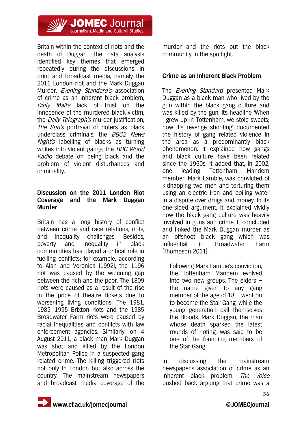

Britain within the context of riots and the death of Duggan. The data analysis identified key themes that emerged repeatedly during the discussions in print and broadcast media, namely the 2011 London riot and the Mark Duggan Murder, *Evening Standard's* association of crime as an inherent black problem, Daily Mail's lack of trust on the innocence of the murdered black victim, the Daily Telegraph's murder justification, The Sun's portrayal of rioters as black underclass criminals, the BBC2 News Night's labelling of blacks as turning whites into violent gangs, the *BBC World* Radio debate on being black and the problem of violent disturbances and criminality.

#### **Discussion on the 2011 London Riot Coverage and the Mark Duggan Murder**

Britain has a long history of conflict between crime and race relations, riots, and inequality challenges. Besides, poverty and inequality in black communities has played a critical role in fuelling conflicts; for example, according to Alan and Veronica (1992), the 1196 riot was caused by the widening gap between the rich and the poor. The 1809 riots were caused as a result of the rise in the price of theatre tickets due to worsening living conditions. The 1981, 1985, 1995 Brixton riots and the 1985 Broadwater Farm riots were caused by racial inequalities and conflicts with law enforcement agencies. Similarly, on 4 August 2011, a black man Mark Duggan was shot and killed by the London Metropolitan Police in a suspected gang related crime. The killing triggered riots not only in London but also across the country. The mainstream newspapers and broadcast media coverage of the

murder and the riots put the black community in the spotlight.

#### **Crime as an Inherent Black Problem**

The *Evening Standard* presented Mark Duggan as a black man who lived by the gun within the black gang culture and was killed by the gun. Its headline 'When I grew up in Tottenham, we stole sweets; now it's revenge shooting' documented the history of gang related violence in the area as a predominantly black phenomenon. It explained how gangs and black culture have been related since the 1960s. It added that, in 2002, one leading Tottenham Mandem member, Mark Lambie, was convicted of kidnapping two men and torturing them using an electric iron and boiling water in a dispute over drugs and money. In its one-sided argument, it explained vividly how the black gang culture was heavily involved in guns and crime. It concluded and linked the Mark Duggan murder as an offshoot black gang which was influential in Broadwater Farm (Thompson 2011):

Following Mark Lambie's conviction, the Tottenham Mandem evolved into two new groups. The elders – the name given to any gang member of the age of 18 – went on to become the Star Gang, while the young generation call themselves the Bloods. Mark Duggan, the man whose death sparked the latest rounds of rioting, was said to be one of the founding members of the Star Gang.

In discussing the mainstream newspaper's association of crime as an inherent black problem, The Voice pushed back arguing that crime was a

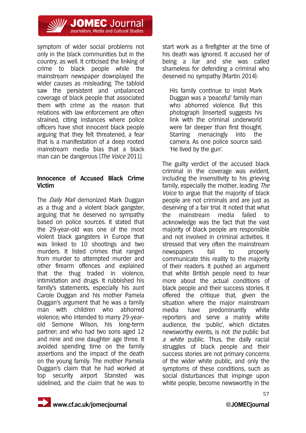

symptom of wider social problems not only in the black communities but in the country, as well. It criticised the linking of crime to black people while the mainstream newspaper downplayed the wider causes as misleading. The tabloid saw the persistent and unbalanced coverage of black people that associated them with crime as the reason that relations with law enforcement are often strained, citing instances where police officers have shot innocent black people arguing that they felt threatened, a fear that is a manifestation of a deep rooted mainstream media bias that a black man can be dangerous (*The Voice* 2011).

#### **Innocence of Accused Black Crime Victim**

The Daily Mail demonized Mark Duggan as a thug and a violent black gangster, arguing that he deserved no sympathy based on police sources. It stated that the 29-year-old was one of the most violent black gangsters in Europe that was linked to 10 shootings and two murders. It listed crimes that ranged from murder to attempted murder and other firearm offences and explained that the thug traded in violence, intimidation and drugs. It rubbished his family's statements, especially his aunt Carole Duggan and his mother Pamela Duggan's argument that he was a family man with children who abhorred violence; who intended to marry 29-yearold Semone Wilson, his long-term partner; and who had two sons aged 12 and nine and one daughter age three. It avoided spending time on the family assertions and the impact of the death on the young family. The mother Pamela Duggan's claim that he had worked at top security airport Stansted was sidelined, and the claim that he was to

start work as a firefighter at the time of his death was ignored. It accused her of being a liar and she was called shameless for defending a criminal who deserved no sympathy (Martin 2014):

His family continue to insist Mark Duggan was a 'peaceful' family man who abhorred violence. But this photograph (inserted) suggests his link with the criminal underworld were far deeper than first thought. Starring menacingly into the camera. As one police source said: 'He lived by the gun'.

The guilty verdict of the accused black criminal in the coverage was evident, including the insensitivity to his grieving family, especially the mother, leading The Voice to argue that the majority of black people are not criminals and are just as deserving of a fair trial. It noted that what the mainstream media failed to acknowledge was the fact that the vast majority of black people are responsible and not involved in criminal activities. It stressed that very often the mainstream newspapers fail to properly communicate this reality to the majority of their readers. It pushed an argument that white British people need to hear more about the actual conditions of black people and their success stories. It offered the critique that, given the situation where the major mainstream media have predominantly white reporters and serve a mainly white audience, the 'public', which dictates newsworthy events, is not the public but a white public. Thus, the daily racial struggles of black people and their success stories are not primary concerns of the wider white public, and only the symptoms of these conditions, such as social disturbances that impinge upon white people, become newsworthy in the

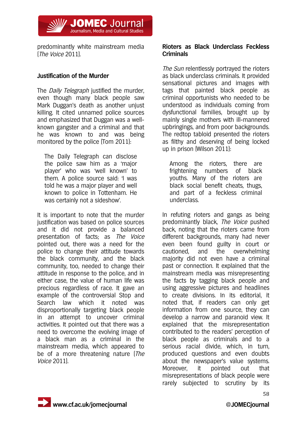predominantly white mainstream media (The Voice 2011).

**// JOMEC** Journal Journalism, Media and Cultural Studies

#### **Justification of the Murder**

The *Daily Telegraph* justified the murder, even though many black people saw Mark Duggan's death as another unjust killing. It cited unnamed police sources and emphasized that Duggan was a wellknown gangster and a criminal and that he was known to and was being monitored by the police (Tom 2011):

The Daily Telegraph can disclose the police saw him as a 'major player' who was 'well known' to them. A police source said: 'I was told he was a major player and well known to police in Tottenham. He was certainly not a sideshow'.

It is important to note that the murder justification was based on police sources and it did not provide a balanced presentation of facts; as The Voice pointed out, there was a need for the police to change their attitude towards the black community, and the black community, too, needed to change their attitude in response to the police, and in either case, the value of human life was precious regardless of race. It gave an example of the controversial Stop and Search law which it noted was disproportionally targeting black people in an attempt to uncover criminal activities. It pointed out that there was a need to overcome the evolving image of a black man as a criminal in the mainstream media, which appeared to be of a more threatening nature (The Voice 2011).

#### **Rioters as Black Underclass Feckless Criminals**

The Sun relentlessly portrayed the rioters as black underclass criminals. It provided sensational pictures and images with tags that painted black people as criminal opportunists who needed to be understood as individuals coming from dysfunctional families, brought up by mainly single mothers with ill-mannered upbringings, and from poor backgrounds. The redtop tabloid presented the rioters as filthy and deserving of being locked up in prison (Wilson 2011):

Among the rioters, there are frightening numbers of black youths. Many of the rioters are black social benefit cheats, thugs, and part of a feckless criminal underclass.

In refuting rioters and gangs as being predominantly black, The Voice pushed back, noting that the rioters came from different backgrounds, many had never even been found guilty in court or cautioned, and the overwhelming majority did not even have a criminal past or connection. It explained that the mainstream media was misrepresenting the facts by tagging black people and using aggressive pictures and headlines to create divisions. In its editorial, it noted that, if readers can only get information from one source, they can develop a narrow and paranoid view. It explained that the misrepresentation contributed to the readers' perception of black people as criminals and to a serious racial divide, which, in turn, produced questions and even doubts about the newspaper's value systems. Moreover, it pointed out that misrepresentations of black people were rarely subjected to scrutiny by its



58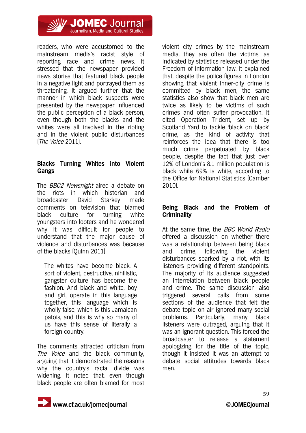

readers, who were accustomed to the mainstream media's racist style of reporting race and crime news. It stressed that the newspaper provided news stories that featured black people in a negative light and portrayed them as threatening. It argued further that the manner in which black suspects were presented by the newspaper influenced the public perception of a black person, even though both the blacks and the whites were all involved in the rioting and in the violent public disturbances (The Voice 2011).

#### **Blacks Turning Whites into Violent Gangs**

The *BBC2 Newsnight* aired a debate on the riots in which historian and broadcaster David Starkey made comments on television that blamed black culture for turning white youngsters into looters and he wondered why it was difficult for people to understand that the major cause of violence and disturbances was because of the blacks (Quinn 2011):

The whites have become black. A sort of violent, destructive, nihilistic, gangster culture has become the fashion. And black and white, boy and girl, operate in this language together, this language which is wholly false, which is this Jamaican patois, and this is why so many of us have this sense of literally a foreign country.

The comments attracted criticism from The Voice and the black community. arguing that it demonstrated the reasons why the country's racial divide was widening. It noted that, even though black people are often blamed for most violent city crimes by the mainstream media, they are often the victims, as indicated by statistics released under the Freedom of Information law. It explained that, despite the police figures in London showing that violent inner-city crime is committed by black men, the same statistics also show that black men are twice as likely to be victims of such crimes and often suffer provocation. It cited Operation Trident, set up by Scotland Yard to tackle 'black on black' crime, as the kind of activity that reinforces the idea that there is too much crime perpetuated by black people, despite the fact that just over 12% of London's 8.1 million population is black while 69% is white, according to the Office for National Statistics (Camber 2010).

#### **Being Black and the Problem of Criminality**

At the same time, the BBC World Radio offered a discussion on whether there was a relationship between being black and crime, following the violent disturbances sparked by a riot, with its listeners providing different standpoints. The majority of its audience suggested an interrelation between black people and crime. The same discussion also triggered several calls from some sections of the audience that felt the debate topic on-air ignored many social problems. Particularly, many black listeners were outraged, arguing that it was an ignorant question. This forced the broadcaster to release a statement apologizing for the title of the topic, though it insisted it was an attempt to debate social attitudes towards black men.



59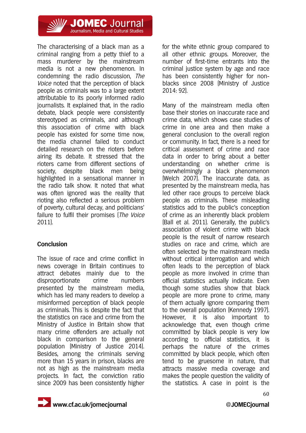

The characterising of a black man as a criminal ranging from a petty thief to a mass murderer by the mainstream media is not a new phenomenon. In condemning the radio discussion, The Voice noted that the perception of black people as criminals was to a large extent attributable to its poorly informed radio journalists. It explained that, in the radio debate, black people were consistently stereotyped as criminals, and although this association of crime with black people has existed for some time now, the media channel failed to conduct detailed research on the rioters before airing its debate. It stressed that the rioters came from different sections of society, despite black men being highlighted in a sensational manner in the radio talk show. It noted that what was often ignored was the reality that rioting also reflected a serious problem of poverty, cultural decay, and politicians' failure to fulfil their promises (The Voice 2011).

## **Conclusion**

The issue of race and crime conflict in news coverage in Britain continues to attract debates mainly due to the disproportionate crime numbers presented by the mainstream media, which has led many readers to develop a misinformed perception of black people as criminals. This is despite the fact that the statistics on race and crime from the Ministry of Justice in Britain show that many crime offenders are actually not black in comparison to the general population (Ministry of Justice 2014). Besides, among the criminals serving more than 15 years in prison, blacks are not as high as the mainstream media projects. In fact, the conviction ratio since 2009 has been consistently higher for the white ethnic group compared to all other ethnic groups. Moreover, the number of first-time entrants into the criminal justice system by age and race has been consistently higher for nonblacks since 2008 (Ministry of Justice 2014: 92).

Many of the mainstream media often base their stories on inaccurate race and crime data, which shows case studies of crime in one area and then make a general conclusion to the overall region or community. In fact, there is a need for critical assessment of crime and race data in order to bring about a better understanding on whether crime is overwhelmingly a black phenomenon (Welch 2007). The inaccurate data, as presented by the mainstream media, has led other race groups to perceive black people as criminals. These misleading statistics add to the public's conception of crime as an inherently black problem (Ball et al. 2011). Generally, the public's association of violent crime with black people is the result of narrow research studies on race and crime, which are often selected by the mainstream media without critical interrogation and which often leads to the perception of black people as more involved in crime than official statistics actually indicate. Even though some studies show that black people are more prone to crime, many of them actually ignore comparing them to the overall population (Kennedy 1997). However, it is also important to acknowledge that, even though crime committed by black people is very low according to official statistics, it is perhaps the nature of the crimes committed by black people, which often tend to be gruesome in nature, that attracts massive media coverage and makes the people question the validity of the statistics. A case in point is the

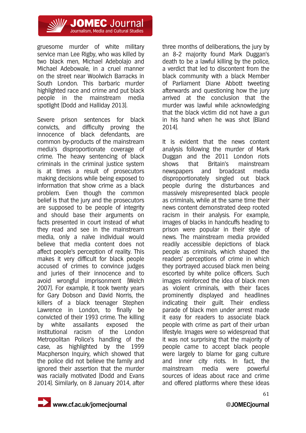

gruesome murder of white military service man Lee Rigby, who was killed by two black men, Michael Adebolajo and Michael Adebowale, in a cruel manner on the street near Woolwich Barracks in South London. This barbaric murder highlighted race and crime and put black people in the mainstream media spotlight (Dodd and Halliday 2013).

Severe prison sentences for black convicts, and difficulty proving the innocence of black defendants, are common by-products of the mainstream media's disproportionate coverage of crime. The heavy sentencing of black criminals in the criminal justice system is at times a result of prosecutors making decisions while being exposed to information that show crime as a black problem. Even though the common belief is that the jury and the prosecutors are supposed to be people of integrity and should base their arguments on facts presented in court instead of what they read and see in the mainstream media, only a naïve individual would believe that media content does not affect people's perception of reality. This makes it very difficult for black people accused of crimes to convince judges and juries of their innocence and to avoid wrongful imprisonment (Welch 2007). For example, it took twenty years for Gary Dobson and David Norris, the killers of a black teenager Stephen Lawrence in London, to finally be convicted of their 1993 crime. The killing by white assailants exposed the institutional racism of the London Metropolitan Police's handling of the case, as highlighted by the 1999 Macpherson Inquiry, which showed that the police did not believe the family and ignored their assertion that the murder was racially motivated (Dodd and Evans 2014). Similarly, on 8 January 2014, after

three months of deliberations, the jury by an 8-2 majority found Mark Duggan's death to be a lawful killing by the police, a verdict that led to discontent from the black community with a black Member of Parliament Diane Abbott tweeting afterwards and questioning how the jury arrived at the conclusion that the murder was lawful while acknowledging that the black victim did not have a gun in his hand when he was shot (Bland 2014).

It is evident that the news content analysis following the murder of Mark Duggan and the 2011 London riots shows that Britain's mainstream newspapers and broadcast media disproportionately singled out black people during the disturbances and massively misrepresented black people as criminals, while at the same time their news content demonstrated deep rooted racism in their analysis. For example, images of blacks in handcuffs heading to prison were popular in their style of news. The mainstream media provided readily accessible depictions of black people as criminals, which shaped the readers' perceptions of crime in which they portrayed accused black men being escorted by white police officers. Such images reinforced the idea of black men as violent criminals, with their faces prominently displayed and headlines indicating their guilt. Their endless parade of black men under arrest made it easy for readers to associate black people with crime as part of their urban lifestyle. Images were so widespread that it was not surprising that the majority of people came to accept black people were largely to blame for gang culture and inner city riots. In fact, the mainstream media were powerful sources of ideas about race and crime and offered platforms where these ideas

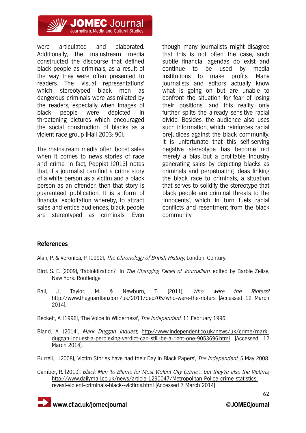

were articulated and elaborated. Additionally, the mainstream media constructed the discourse that defined black people as criminals, as a result of the way they were often presented to readers. The 'visual representations' which stereotyped black men as dangerous criminals were assimilated by the readers, especially when images of black people were depicted in threatening pictures which encouraged the social construction of blacks as a violent race group (Hall 2003: 90).

Journalism, Media and Cultural Studies

The mainstream media often boost sales when it comes to news stories of race and crime. In fact, Peppiat (2013) notes that, if a journalist can find a crime story of a white person as a victim and a black person as an offender, then that story is guaranteed publication. It is a form of financial exploitation whereby, to attract sales and entice audiences, black people are stereotyped as criminals. Even

though many journalists might disagree that this is not often the case, such subtle financial agendas do exist and continue to be used by media institutions to make profits. Many journalists and editors actually know what is going on but are unable to confront the situation for fear of losing their positions, and this reality only further splits the already sensitive racial divide. Besides, the audience also uses such information, which reinforces racial prejudices against the black community. It is unfortunate that this self-serving negative stereotype has become not merely a bias but a profitable industry generating sales by depicting blacks as criminals and perpetuating ideas linking the black race to criminals, a situation that serves to solidify the stereotype that black people are criminal threats to the 'innocents', which in turn fuels racial conflicts and resentment from the black community.

#### **References**

Alan, P. & Veronica, P. (1992), The Chronology of British History, London: Century.

- Bird, S. E. (2009), 'Tabloidization?', in *The Changing Faces of Journalism*, edited by Barbie Zelize, New York: Routledge.
- Ball, J., Taylor, M. & Newburn, T. (2011), *Who were the Rioters?* http://www.theguardian.com/uk/2011/dec/05/who-were-the-rioters [Accessed 12 March 2014].

Beckett, A. (1996), 'The Voice in Wilderness', The Independent, 11 February 1996.

Bland, A. (2014), Mark Duggan Inquest, http://www.independent.co.uk/news/uk/crime/markduggan-inquest-a-perplexing-verdict-can-still-be-a-right-one-9053696.html [Accessed 12 March 2014].

Burrell, I. (2008), 'Victim Stories have had their Day in Black Papers', The Independent, 5 May 2008.

Camber, R. (2010), Black Men 'to Blame for Most Violent City Crime'... but they're also the Victims, http://www.dailymail.co.uk/news/article-1290047/Metropolitan-Police-crime-statisticsreveal-violent-criminals-black--victims.html [Accessed 7 March 2014]

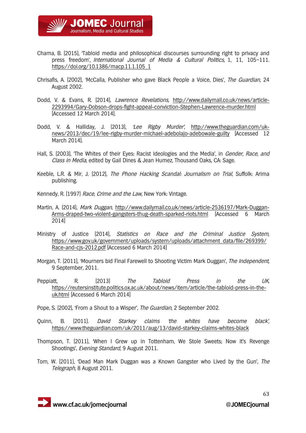

- Chama, B. (2015), 'Tabloid media and philosophical discourses surrounding right to privacy and press freedom', International Journal of Media & Cultural Politics, 1, 11, 105–111. https://doi.org/10.1386/macp.11.1.105\_1
- Chrisafis, A. (2002), 'McCalla, Publisher who gave Black People a Voice, Dies', The Guardian, 24 August 2002.
- Dodd, V. & Evans, R. (2014), Lawrence Revelations, http://www.dailymail.co.uk/news/article-2293994/Gary-Dobson-drops-fight-appeal-conviction-Stephen-Lawrence-murder.html [Accessed 12 March 2014].
- Dodd, V. & Halliday, J. (2013), 'Lee Rigby Murder', http://www.theguardian.com/uknews/2013/dec/19/lee-rigby-murder-michael-adebolajo-adebowale-guilty [Accessed 12 March 2014].
- Hall, S. (2003), 'The Whites of their Eyes: Racist Ideologies and the Media', in Gender, Race, and Class in Media, edited by Gail Dines & Jean Humez, Thousand Oaks, CA: Sage.
- Keeble, L.R. & Mir, J. (2012), The Phone Hacking Scandal: Journalism on Trial, Suffolk: Arima publishing.
- Kennedy, R. (1997) Race, Crime and the Law, New York: Vintage.
- Martin, A. (2014), Mark Duggan, http://www.dailymail.co.uk/news/article-2536197/Mark-Duggan-Arms-draped-two-violent-gangsters-thug-death-sparked-riots.html [Accessed 6 March 2014]
- Ministry of Justice (2014), Statistics on Race and the Criminal Justice System, https://www.gov.uk/government/uploads/system/uploads/attachment\_data/file/269399/ Race-and-cjs-2012.pdf [Accessed 6 March 2014]
- Morgan, T. (2011), 'Mourners bid Final Farewell to Shooting Victim Mark Duggan', The Independent, 9 September, 2011.
- Peppiatt, R. (2013) *The Tabloid Press in the UK*, https://reutersinstitute.politics.ox.ac.uk/about/news/item/article/the-tabloid-press-in-theuk.html [Accessed 6 March 2014]
- Pope, S. (2002), 'From a Shout to a Wisper', The Guardian, 2 September 2002.
- Quinn, B. (2011). *David Starkey claims 'the whites have become black'*, https://www.theguardian.com/uk/2011/aug/13/david-starkey-claims-whites-black
- Thompson, T. (2011), 'When I Grew up in Tottenham, We Stole Sweets; Now it's Revenge Shootings', Evening Standard, 9 August 2011.
- Tom, W. (2011), 'Dead Man Mark Duggan was a Known Gangster who Lived by the Gun', The Telegraph, 8 August 2011.

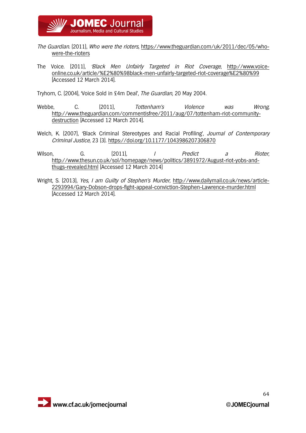

- The Guardian. (2011), Who were the rioters, https://www.theguardian.com/uk/2011/dec/05/whowere-the-rioters
- The Voice. (2011), 'Black Men Unfairly Targeted in Riot Coverage, http://www.voiceonline.co.uk/article/%E2%80%98black-men-unfairly-targeted-riot-coverage%E2%80%99 [Accessed 12 March 2014].

Tryhorn, C. (2004), 'Voice Sold in £4m Deal', The Guardian, 20 May 2004.

- Webbe, C. (2011), Tottenham's Violence was Wrong, http://www.theguardian.com/commentisfree/2011/aug/07/tottenham-riot-communitydestruction [Accessed 12 March 2014].
- Welch, K. (2007), 'Black Criminal Stereotypes and Racial Profiling', *Journal of Contemporary* Criminal Justice, 23 (3). https://doi.org/10.1177/1043986207306870
- Wilson, G. (2011), I Predict a Rioter, http://www.thesun.co.uk/sol/homepage/news/politics/3891972/August-riot-yobs-andthugs-revealed.html [Accessed 12 March 2014]
- Wright, S. (2013), Yes, I am Guilty of Stephen's Murder, http://www.dailymail.co.uk/news/article-2293994/Gary-Dobson-drops-fight-appeal-conviction-Stephen-Lawrence-murder.html [Accessed 12 March 2014].